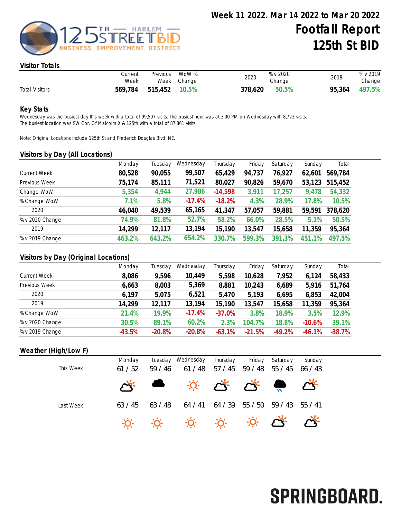

#### Visitor Totals

|                       | Current<br>Week | Previous      | WoW %<br>Week Change | 2020    | % v 2020<br>Change | 2019   | % v 2019<br>Change |
|-----------------------|-----------------|---------------|----------------------|---------|--------------------|--------|--------------------|
| <b>Total Visitors</b> | 569,784         | 515,452 10.5% |                      | 378,620 | 50.5%              | 95,364 | 497.5%             |

#### Key Stats

Wednesday was the busiest day this week with a total of 99,507 visits. The busiest hour was at 3:00 PM on Wednesday with 8,723 visits. The busiest location was SW Cor. Of Malcolm X & 125th with a total of 87,861 visits.

Note: Original Locations include 125th St and Frederick Douglas Blvd; NE.

#### Visitors by Day (All Locations)

|                     | Monday | Tuesday | Wednesday | Thursday  | Friday | Saturday | Sunday | Total   |
|---------------------|--------|---------|-----------|-----------|--------|----------|--------|---------|
| <b>Current Week</b> | 80,528 | 90,055  | 99,507    | 65,429    | 94,737 | 76,927   | 62,601 | 569,784 |
| Previous Week       | 75,174 | 85,111  | 71,521    | 80,027    | 90,826 | 59,670   | 53,123 | 515,452 |
| Change WoW          | 5,354  | 4,944   | 27,986    | $-14,598$ | 3,911  | 17,257   | 9,478  | 54,332  |
| % Change WoW        | 7.1%   | 5.8%    | $-17.4%$  | $-18.2%$  | 4.3%   | 28.9%    | 17.8%  | 10.5%   |
| 2020                | 46,040 | 49,539  | 65,165    | 41,347    | 57,057 | 59,881   | 59,591 | 378,620 |
| % v 2020 Change     | 74.9%  | 81.8%   | 52.7%     | 58.2%     | 66.0%  | 28.5%    | 5.1%   | 50.5%   |
| 2019                | 14,299 | 12,117  | 13,194    | 15,190    | 13,547 | 15,658   | 11,359 | 95,364  |
| % v 2019 Change     | 463.2% | 643.2%  | 654.2%    | 330.7%    | 599.3% | 391.3%   | 451.1% | 497.5%  |

### Visitors by Day (Original Locations)

| Monday   | Tuesday  | Wednesday | Thursday | Friday   | Saturday | Sunday   | Total    |
|----------|----------|-----------|----------|----------|----------|----------|----------|
| 8,086    | 9,596    | 10,449    | 5,598    | 10,628   | 7,952    | 6,124    | 58,433   |
| 6,663    | 8,003    | 5,369     | 8,881    | 10,243   | 6,689    | 5,916    | 51,764   |
| 6,197    | 5,075    | 6,521     | 5,470    | 5,193    | 6,695    | 6,853    | 42,004   |
| 14,299   | 12,117   | 13,194    | 15,190   | 13,547   | 15,658   | 11,359   | 95,364   |
| 21.4%    | 19.9%    | $-17.4%$  | $-37.0%$ | 3.8%     | 18.9%    | 3.5%     | 12.9%    |
| 30.5%    | 89.1%    | 60.2%     | 2.3%     | 104.7%   | 18.8%    | $-10.6%$ | 39.1%    |
| $-43.5%$ | $-20.8%$ | $-20.8%$  | $-63.1%$ | $-21.5%$ | $-49.2%$ | $-46.1%$ | $-38.7%$ |
|          |          |           |          |          |          |          |          |

## Weather (High/Low F)

|           | Monday                                                                | Tuesday | Wednesday                                                                                                                                  | Thursday | Friday | Saturday | Sunday |  |
|-----------|-----------------------------------------------------------------------|---------|--------------------------------------------------------------------------------------------------------------------------------------------|----------|--------|----------|--------|--|
| This Week | 61/52                                                                 | 59/46   | 61/48                                                                                                                                      | 57/45    | 59/48  | 55/45    | 66/43  |  |
|           | $\mathcal{L}^{\mathcal{A}^{\mathcal{L}}}_{\mathcal{A}^{\mathcal{L}}}$ |         | $\mathbb{R}$ $\mathbb{R}$ $\mathbb{R}$ $\mathbb{R}$ $\mathbb{R}$ $\mathbb{R}$ $\mathbb{R}$                                                 |          |        |          |        |  |
| Last Week | 63/45                                                                 | 63/48   | 64/41                                                                                                                                      | 64/39    | 55/50  | 59/43    | 55/41  |  |
|           |                                                                       |         | $\begin{array}{ccccccccc}\n\ddot{\varphi} & \ddot{\varphi} & \ddot{\varphi} & \ddot{\varphi} & \dot{\varphi} & \dot{\varphi}\n\end{array}$ |          |        |          |        |  |

# SPRINGBOARD.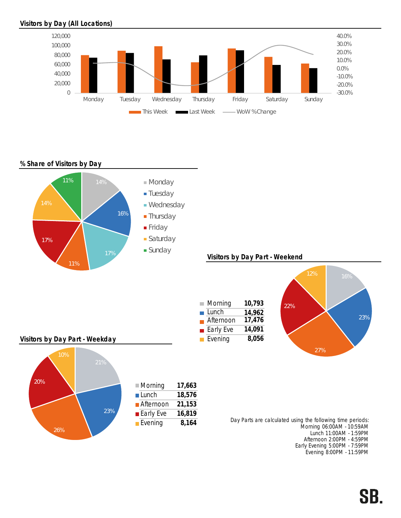## Visitors by Day (All Locations)



## % Share of Visitors by Day



Afternoon 2:00PM - 4:59PM Early Evening 5:00PM - 7:59PM Evening 8:00PM - 11:59PM

# SB.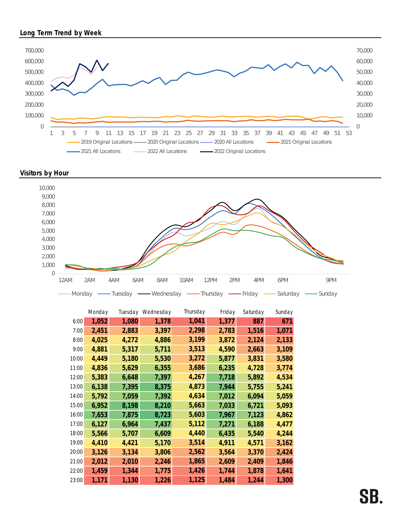## Long Term Trend by Week



### Visitors by Hour



|       | Monday | Tuesday | Wednesday | Thursday | Friday | Saturday | Sunday |
|-------|--------|---------|-----------|----------|--------|----------|--------|
| 6:00  | 1,052  | 1,080   | 1,378     | 1,041    | 1,377  | 887      | 671    |
| 7:00  | 2,451  | 2,883   | 3,397     | 2,298    | 2,783  | 1,516    | 1,071  |
| 8:00  | 4,025  | 4,272   | 4,886     | 3,199    | 3,872  | 2,124    | 2,133  |
| 9:00  | 4,881  | 5,317   | 5,711     | 3,513    | 4,590  | 2,663    | 3,109  |
| 10:00 | 4,449  | 5,180   | 5,530     | 3,272    | 5,877  | 3,831    | 3,580  |
| 11:00 | 4,836  | 5,629   | 6,355     | 3,686    | 6,235  | 4,728    | 3,774  |
| 12:00 | 5,383  | 6,648   | 7,397     | 4,267    | 7,718  | 5,892    | 4,534  |
| 13:00 | 6,138  | 7,395   | 8,375     | 4,873    | 7,944  | 5,755    | 5,241  |
| 14:00 | 5,792  | 7,059   | 7,392     | 4,634    | 7,012  | 6,094    | 5,059  |
| 15:00 | 6,952  | 8,198   | 8,210     | 5,663    | 7,033  | 6,721    | 5,093  |
| 16:00 | 7,653  | 7,875   | 8,723     | 5,603    | 7,967  | 7,123    | 4,862  |
| 17:00 | 6,127  | 6,964   | 7,437     | 5,112    | 7,271  | 6,188    | 4,477  |
| 18:00 | 5,566  | 5,707   | 6,609     | 4,440    | 6,435  | 5,540    | 4,244  |
| 19:00 | 4,410  | 4,421   | 5,170     | 3,514    | 4,911  | 4,571    | 3,162  |
| 20:00 | 3,126  | 3,134   | 3,806     | 2,562    | 3,564  | 3,370    | 2,424  |
| 21:00 | 2,012  | 2,010   | 2,246     | 1,865    | 2,609  | 2,409    | 1,846  |
| 22:00 | 1,459  | 1,344   | 1,775     | 1,426    | 1,744  | 1,878    | 1,641  |
| 23:00 | 1,171  | 1,130   | 1,226     | 1,125    | 1,484  | 1,244    | 1,300  |